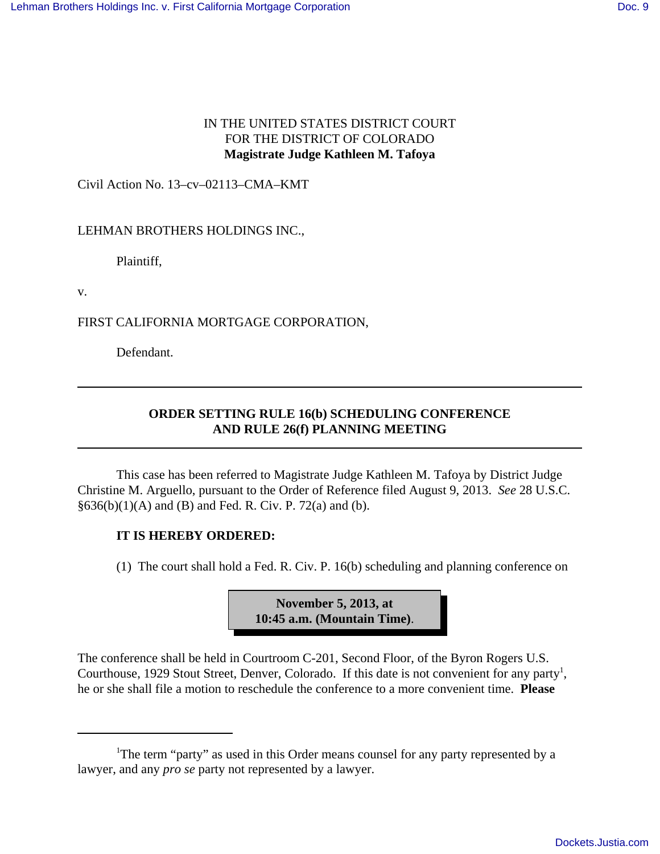## IN THE UNITED STATES DISTRICT COURT FOR THE DISTRICT OF COLORADO **Magistrate Judge Kathleen M. Tafoya**

Civil Action No. 13–cv–02113–CMA–KMT

LEHMAN BROTHERS HOLDINGS INC.,

Plaintiff,

v.

FIRST CALIFORNIA MORTGAGE CORPORATION,

Defendant.

## **ORDER SETTING RULE 16(b) SCHEDULING CONFERENCE AND RULE 26(f) PLANNING MEETING**

This case has been referred to Magistrate Judge Kathleen M. Tafoya by District Judge Christine M. Arguello, pursuant to the Order of Reference filed August 9, 2013. *See* 28 U.S.C.  $§636(b)(1)(A)$  and (B) and Fed. R. Civ. P. 72(a) and (b).

## **IT IS HEREBY ORDERED:**

(1) The court shall hold a Fed. R. Civ. P. 16(b) scheduling and planning conference on

**November 5, 2013, at 10:45 a.m. (Mountain Time)**.

The conference shall be held in Courtroom C-201, Second Floor, of the Byron Rogers U.S. Courthouse, 1929 Stout Street, Denver, Colorado. If this date is not convenient for any party<sup>1</sup>, he or she shall file a motion to reschedule the conference to a more convenient time. **Please**

<sup>&</sup>lt;sup>1</sup>The term "party" as used in this Order means counsel for any party represented by a lawyer, and any *pro se* party not represented by a lawyer.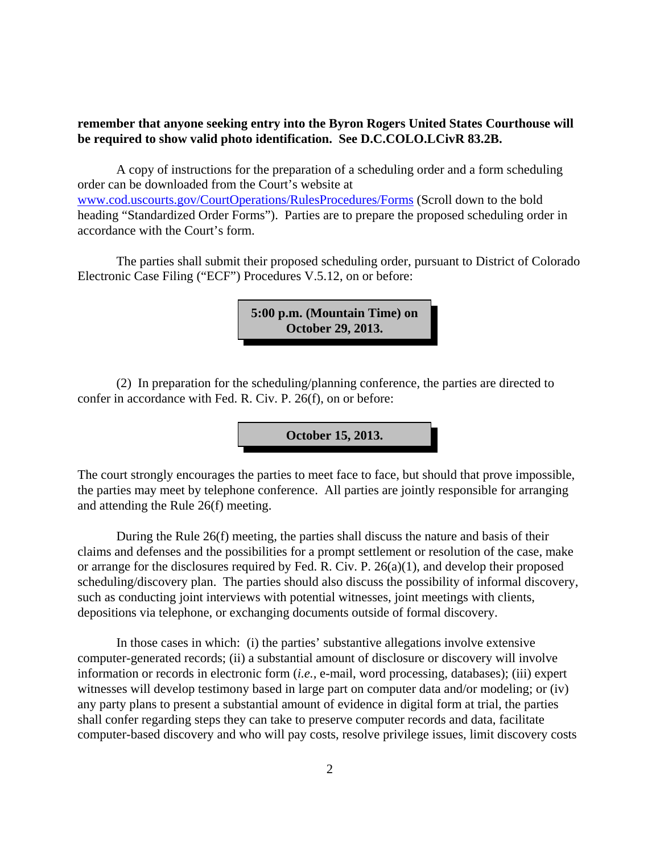## **remember that anyone seeking entry into the Byron Rogers United States Courthouse will be required to show valid photo identification. See D.C.COLO.LCivR 83.2B.**

A copy of instructions for the preparation of a scheduling order and a form scheduling order can be downloaded from the Court's website at www.cod.uscourts.gov/CourtOperations/RulesProcedures/Forms (Scroll down to the bold heading "Standardized Order Forms"). Parties are to prepare the proposed scheduling order in accordance with the Court's form.

The parties shall submit their proposed scheduling order, pursuant to District of Colorado Electronic Case Filing ("ECF") Procedures V.5.12, on or before:

> **5:00 p.m. (Mountain Time) on October 29, 2013.**

(2) In preparation for the scheduling/planning conference, the parties are directed to confer in accordance with Fed. R. Civ. P. 26(f), on or before:

**October 15, 2013.**

The court strongly encourages the parties to meet face to face, but should that prove impossible, the parties may meet by telephone conference. All parties are jointly responsible for arranging and attending the Rule 26(f) meeting.

During the Rule 26(f) meeting, the parties shall discuss the nature and basis of their claims and defenses and the possibilities for a prompt settlement or resolution of the case, make or arrange for the disclosures required by Fed. R. Civ. P. 26(a)(1), and develop their proposed scheduling/discovery plan. The parties should also discuss the possibility of informal discovery, such as conducting joint interviews with potential witnesses, joint meetings with clients, depositions via telephone, or exchanging documents outside of formal discovery.

In those cases in which: (i) the parties' substantive allegations involve extensive computer-generated records; (ii) a substantial amount of disclosure or discovery will involve information or records in electronic form (*i.e.,* e-mail, word processing, databases); (iii) expert witnesses will develop testimony based in large part on computer data and/or modeling; or (iv) any party plans to present a substantial amount of evidence in digital form at trial, the parties shall confer regarding steps they can take to preserve computer records and data, facilitate computer-based discovery and who will pay costs, resolve privilege issues, limit discovery costs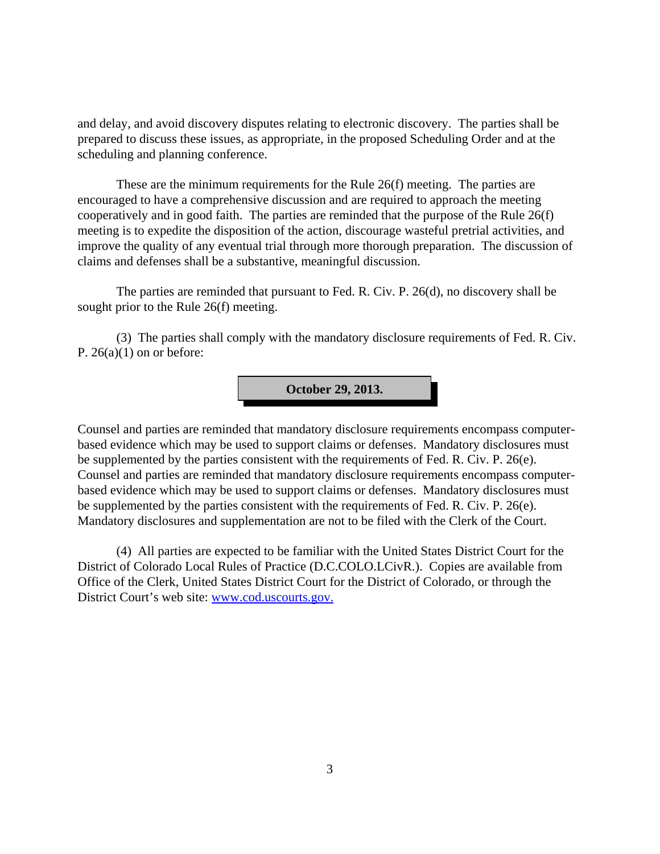and delay, and avoid discovery disputes relating to electronic discovery. The parties shall be prepared to discuss these issues, as appropriate, in the proposed Scheduling Order and at the scheduling and planning conference.

These are the minimum requirements for the Rule 26(f) meeting. The parties are encouraged to have a comprehensive discussion and are required to approach the meeting cooperatively and in good faith. The parties are reminded that the purpose of the Rule 26(f) meeting is to expedite the disposition of the action, discourage wasteful pretrial activities, and improve the quality of any eventual trial through more thorough preparation. The discussion of claims and defenses shall be a substantive, meaningful discussion.

The parties are reminded that pursuant to Fed. R. Civ. P. 26(d), no discovery shall be sought prior to the Rule 26(f) meeting.

(3) The parties shall comply with the mandatory disclosure requirements of Fed. R. Civ. P.  $26(a)(1)$  on or before:

**October 29, 2013.**

Counsel and parties are reminded that mandatory disclosure requirements encompass computerbased evidence which may be used to support claims or defenses. Mandatory disclosures must be supplemented by the parties consistent with the requirements of Fed. R. Civ. P. 26(e). Counsel and parties are reminded that mandatory disclosure requirements encompass computerbased evidence which may be used to support claims or defenses. Mandatory disclosures must be supplemented by the parties consistent with the requirements of Fed. R. Civ. P. 26(e). Mandatory disclosures and supplementation are not to be filed with the Clerk of the Court.

(4) All parties are expected to be familiar with the United States District Court for the District of Colorado Local Rules of Practice (D.C.COLO.LCivR.). Copies are available from Office of the Clerk, United States District Court for the District of Colorado, or through the District Court's web site: www.cod.uscourts.gov.